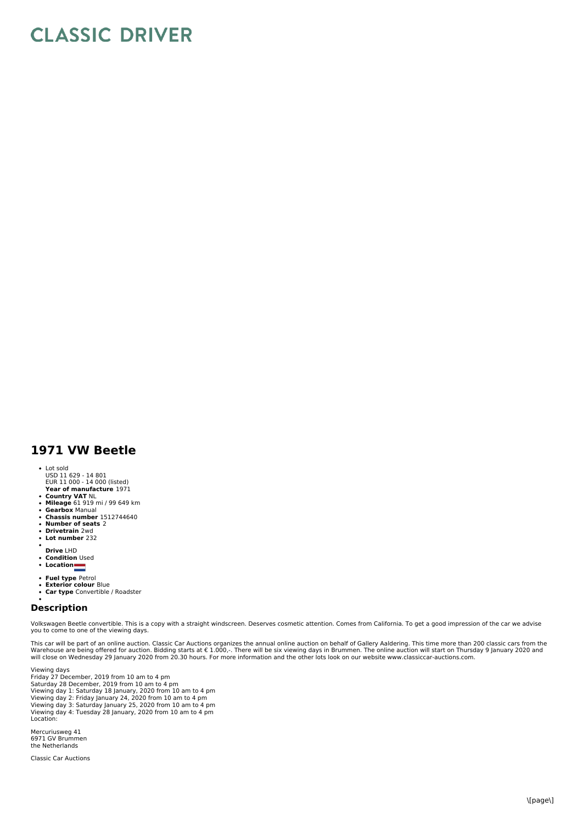## **CLASSIC DRIVER**

## **1971 VW Beetle**

## • Lot sold

- USD 11 629 14 801 EUR 11 000 14 000 (listed)
- **Year of manufacture** 1971
- 
- **Country VAT** NL **Mileage** 61 919 mi / 99 649 km **Gearbox** Manual **Chassis number** 1512744640 **Number of seats** 2
- 
- $\bullet$ **Drivetrain** 2wd
- $\ddot{\phantom{a}}$ **Lot number** 232
- 
- **Drive** LHD **Condition** Used
- $\ddot{\phantom{0}}$
- **Location**
- 
- **Fuel type** Petrol **Exterior colour** Blue
- **Car type** Convertible / Roadster

## **Description**

Volkswagen Beetle convertible. This is a copy with a straight windscreen. Deserves cosmetic attention. Comes from California. To get a good impression of the car we advise you to come to one of the viewing days.

This car will be part of an online auction. Classic Car Auctions organizes the annual online auction on behalf of Gallery Aaldering. This time more than 200 classic cars from the<br>Warehouse are being offered for auction. Bi

Viewing days Friday 27 December, 2019 from 10 am to 4 pm Saturday 28 December, 2019 from 10 am to 4 pm Viewing day 1: Saturday 18 January, 2020 from 10 am to 4 pm<br>Viewing day 2: Friday January 24, 2020 from 10 am to 4 pm<br>Viewing day 3: Saturday January 25, 2020 from 10 am to 4 pm<br>Viewing day 4: Tuesday 28 January, 2020 from Location:

Mercuriusweg 41 6971 GV Brummen the Netherlands

Classic Car Auctions